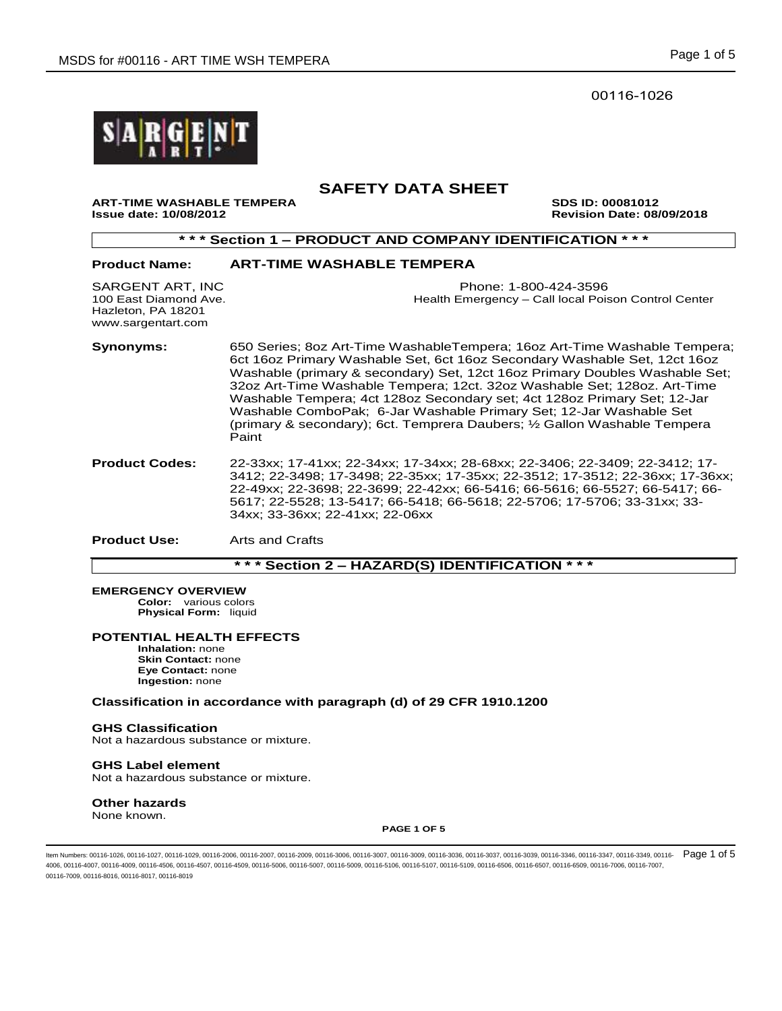00116-1026



# **SAFETY DATA SHEET**

**ART-TIME WASHABLE TEMPERA SDS ID: 00081012 Issue date: 10/08/2012 Revision Date: 08/09/2018** 

**\* \* \* Section 1 – PRODUCT AND COMPANY IDENTIFICATION \* \* \* Product Name: ART-TIME WASHABLE TEMPERA**  SARGENT ART, INC Phone: 1-800-424-3596 100 East Diamond Ave. Health Emergency – Call local Poison Control Center Hazleton, PA 18201 www.sargentart.com **Synonyms:** 650 Series; 8oz Art-Time WashableTempera; 16oz Art-Time Washable Tempera; 6ct 16oz Primary Washable Set, 6ct 16oz Secondary Washable Set, 12ct 16oz Washable (primary & secondary) Set, 12ct 16oz Primary Doubles Washable Set; 32oz Art-Time Washable Tempera; 12ct. 32oz Washable Set; 128oz. Art-Time Washable Tempera; 4ct 128oz Secondary set; 4ct 128oz Primary Set; 12-Jar Washable ComboPak; 6-Jar Washable Primary Set; 12-Jar Washable Set (primary & secondary); 6ct. Temprera Daubers; ½ Gallon Washable Tempera Paint **Product Codes:** 22-33xx; 17-41xx; 22-34xx; 17-34xx; 28-68xx; 22-3406; 22-3409; 22-3412; 17- 3412; 22-3498; 17-3498; 22-35xx; 17-35xx; 22-3512; 17-3512; 22-36xx; 17-36xx; 22-49xx; 22-3698; 22-3699; 22-42xx; 66-5416; 66-5616; 66-5527; 66-5417; 66- 5617; 22-5528; 13-5417; 66-5418; 66-5618; 22-5706; 17-5706; 33-31xx; 33- 34xx; 33-36xx; 22-41xx; 22-06xx

**Product Use:** Arts and Crafts

**\* \* \* Section 2 – HAZARD(S) IDENTIFICATION \* \* \***

#### **EMERGENCY OVERVIEW**

**Color:** various colors **Physical Form:** liquid

### **POTENTIAL HEALTH EFFECTS**

**Inhalation:** none **Skin Contact:** none **Eye Contact:** none **Ingestion:** none

### **Classification in accordance with paragraph (d) of 29 CFR 1910.1200**

#### **GHS Classification**

Not a hazardous substance or mixture.

# **GHS Label element**

Not a hazardous substance or mixture.

## **Other hazards**

None known.

#### **PAGE 1 OF 5**

ltem Numbers: 00116-1026, 00116-1027, 00116-1029, 00116-2006, 00116-2007, 00116-2009, 00116-3006, 00116-3039, 00116-3036, 00116-3037, 00116-3039, 00116-30346, 00116-3347, 00116-3349, 00116-3349, 00116-3039, 00116-3039, 001 4006, 00116-4007, 00116-4009, 00116-4506, 00116-4507, 00116-509, 00116-5006, 00116-5007, 00116-5109, 00116-5107, 00116-5107, 00116-5109, 00116-6506, 00116-6507, 00116-6509, 00116-6509, 00116-6509, 00116-6509, 00116-7006, 00 00116-7009, 00116-8016, 00116-8017, 00116-8019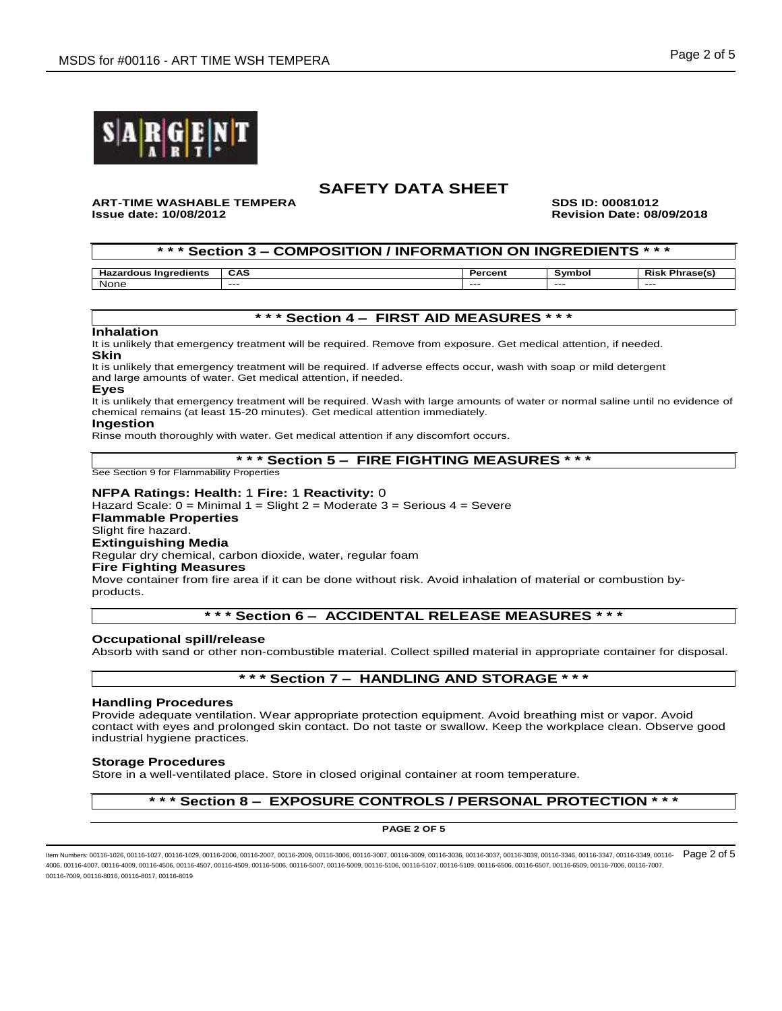

#### **ART-TIME WASHABLE TEMPERA SDS ID: 00081012 Issue date: 10/08/2012 Revision Date: 08/09/2018**

### **\* \* \* Section 3 – COMPOSITION / INFORMATION ON INGREDIENTS \* \* \***

| naredients<br>dous<br>. . | CAS  | в.<br>ен | 5.mb | Pie.<br>. |
|---------------------------|------|----------|------|-----------|
| . .                       | ---- | ----     | ---- | $---$     |
| None                      |      |          |      |           |

#### **\* \* \* Section 4 – FIRST AID MEASURES \* \* \***

#### **Inhalation**

It is unlikely that emergency treatment will be required. Remove from exposure. Get medical attention, if needed. **Skin**

It is unlikely that emergency treatment will be required. If adverse effects occur, wash with soap or mild detergent and large amounts of water. Get medical attention, if needed.

#### **Eyes**

It is unlikely that emergency treatment will be required. Wash with large amounts of water or normal saline until no evidence of chemical remains (at least 15-20 minutes). Get medical attention immediately.

#### **Ingestion**

Rinse mouth thoroughly with water. Get medical attention if any discomfort occurs.

### **\* \* \* Section 5 – FIRE FIGHTING MEASURES \* \* \***

See Section 9 for Flammability Properties

#### **NFPA Ratings: Health:** 1 **Fire:** 1 **Reactivity:** 0

Hazard Scale: 0 = Minimal 1 = Slight 2 = Moderate 3 = Serious 4 = Severe

**Flammable Properties**

### Slight fire hazard.

**Extinguishing Media**

Regular dry chemical, carbon dioxide, water, regular foam

### **Fire Fighting Measures**

Move container from fire area if it can be done without risk. Avoid inhalation of material or combustion byproducts.

## **\* \* \* Section 6 – ACCIDENTAL RELEASE MEASURES \* \* \***

#### **Occupational spill/release**

Absorb with sand or other non-combustible material. Collect spilled material in appropriate container for disposal.

## **\* \* \* Section 7 – HANDLING AND STORAGE \* \* \***

#### **Handling Procedures**

Provide adequate ventilation. Wear appropriate protection equipment. Avoid breathing mist or vapor. Avoid contact with eyes and prolonged skin contact. Do not taste or swallow. Keep the workplace clean. Observe good industrial hygiene practices.

#### **Storage Procedures**

Store in a well-ventilated place. Store in closed original container at room temperature.

## **\* \* \* Section 8 – EXPOSURE CONTROLS / PERSONAL PROTECTION \* \* \***

**PAGE 2 OF 5**

ltem Numbers: 00116-1026, 00116-1027, 00116-1029, 00116-2006, 00116-2007, 00116-2009, 00116-3006, 00116-3039, 00116-3036, 00116-3037, 00116-3039, 00116-30346, 00116-3347, 00116-3348, 00116-3349, 00116-3039, 00116-3039, 001 4006, 00116-4007, 00116-4009, 00116-4506, 00116-4507, 00116-509, 00116-5006, 00116-5007, 00116-5109, 00116-5107, 00116-5107, 00116-5109, 00116-6506, 00116-6507, 00116-6509, 00116-6509, 00116-6509, 00116-6509, 00116-7006, 00 00116-7009, 00116-8016, 00116-8017, 00116-8019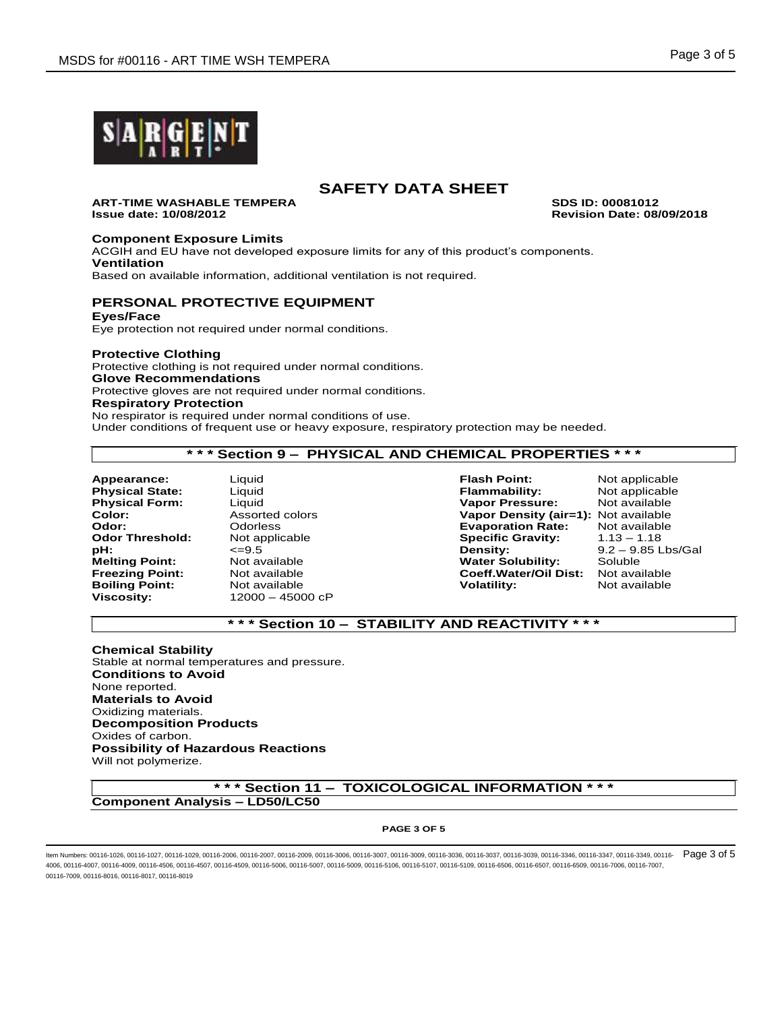

**ART-TIME WASHABLE TEMPERA SDS ID: 00081012 Issue date: 10/08/2012 Revision Date: 08/09/2018**

**Component Exposure Limits**

ACGIH and EU have not developed exposure limits for any of this product's components. **Ventilation**

Based on available information, additional ventilation is not required.

# **PERSONAL PROTECTIVE EQUIPMENT**

**Eyes/Face**

Eye protection not required under normal conditions.

### **Protective Clothing**

Protective clothing is not required under normal conditions.

**Glove Recommendations** Protective gloves are not required under normal conditions.

### **Respiratory Protection**

No respirator is required under normal conditions of use. Under conditions of frequent use or heavy exposure, respiratory protection may be needed.

### **\* \* \* Section 9 – PHYSICAL AND CHEMICAL PROPERTIES \* \* \***

**Boiling Point:** Not available **Volatility:** Not available **Viscosity:** Not available **Viscosity:** Not available

**Viscosity:** 12000 – 45000 cP

**Appearance:** Liquid **Flash Point:** Not applicable **Physical State:** Liquid **Flammability:** Not applicable **Vapor Pressure: Color:** Assorted colors **Vapor Density (air=1):** Not available **Odor:** Odorless **Evaporation Rate:** Not available **Odor Threshold:** Not applicable **Specific Gravity:**<br>  $\epsilon$ =9.5 **Density:** Density: **Melting Point:** Mot available **Notelling Point:** Not available **Notelling Point:** Not available **Notelling Solubility:** Soluble **Preezing Point:** Not available **Coeff.Water/Oil Dist:** 

**pH:** <=9.5 **Density:** 9.2 – 9.85 Lbs/Gal

## **\* \* \* Section 10 – STABILITY AND REACTIVITY \* \* \***

**Chemical Stability** Stable at normal temperatures and pressure. **Conditions to Avoid** None reported. **Materials to Avoid** Oxidizing materials. **Decomposition Products** Oxides of carbon. **Possibility of Hazardous Reactions** Will not polymerize.

**\* \* \* Section 11 – TOXICOLOGICAL INFORMATION \* \* \* Component Analysis – LD50/LC50**

#### **PAGE 3 OF 5**

ltem Numbers: 00116-1026, 00116-1027, 00116-1029, 00116-2006, 00116-2007, 00116-2009, 00116-3006, 00116-3039, 00116-3036, 00116-3037, 00116-3039, 00116-30346, 00116-3347, 00116-3348, 00116-3349, 00116-3039, 00116-3039, 001 4006, 00116-4007, 00116-4009, 00116-4506, 00116-4507, 00116-509, 00116-5006, 00116-5007, 00116-5109, 00116-5107, 00116-5107, 00116-5109, 00116-6506, 00116-6507, 00116-6509, 00116-6509, 00116-6509, 00116-6509, 00116-7006, 00 00116-7009, 00116-8016, 00116-8017, 00116-8019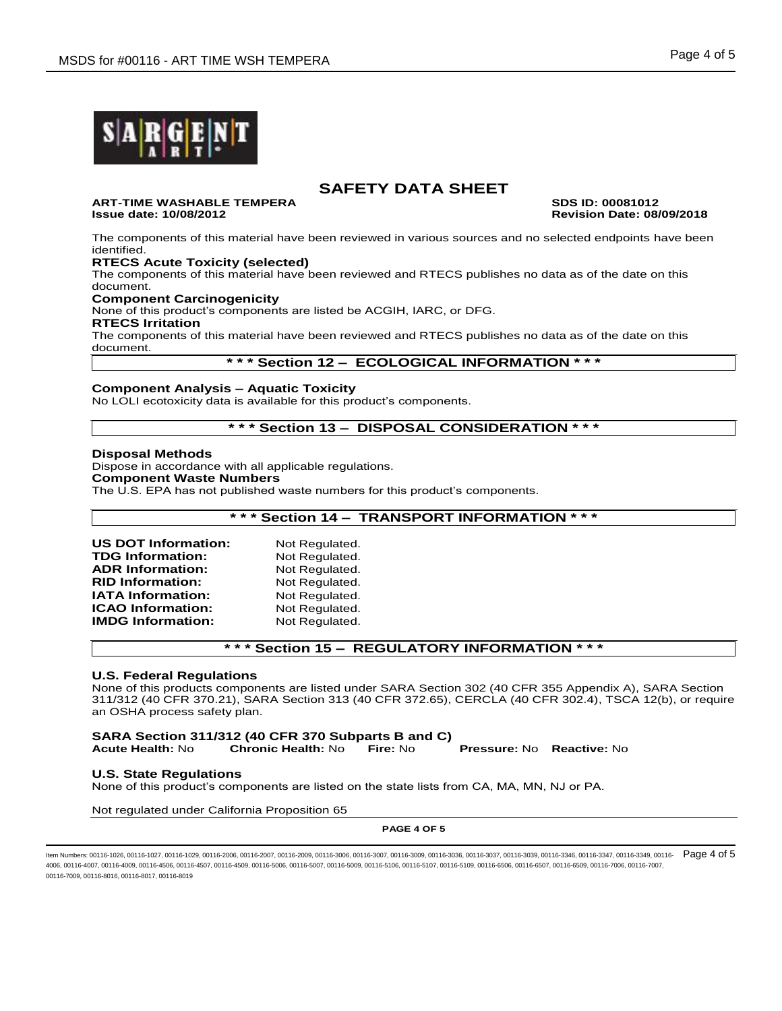

**ART-TIME WASHABLE TEMPERA SDS ID: 00081012 Issue date: 10/08/2012 Revision Date: 08/09/2018**

The components of this material have been reviewed in various sources and no selected endpoints have been identified.

### **RTECS Acute Toxicity (selected)**

The components of this material have been reviewed and RTECS publishes no data as of the date on this document.

**Component Carcinogenicity**

None of this product's components are listed be ACGIH, IARC, or DFG.

**RTECS Irritation**

The components of this material have been reviewed and RTECS publishes no data as of the date on this document.

### **\* \* \* Section 12 – ECOLOGICAL INFORMATION \* \* \***

#### **Component Analysis – Aquatic Toxicity**

No LOLI ecotoxicity data is available for this product's components.

# **\* \* \* Section 13 – DISPOSAL CONSIDERATION \* \* \***

#### **Disposal Methods**

Dispose in accordance with all applicable regulations. **Component Waste Numbers** The U.S. EPA has not published waste numbers for this product's components.

### **\* \* \* Section 14 – TRANSPORT INFORMATION \* \* \***

| <b>US DOT Information:</b> | Not Regulated. |
|----------------------------|----------------|
| <b>TDG Information:</b>    | Not Regulated. |
| <b>ADR Information:</b>    | Not Regulated. |
| <b>RID Information:</b>    | Not Regulated. |
| <b>IATA Information:</b>   | Not Regulated. |
| <b>ICAO Information:</b>   | Not Regulated. |
| <b>IMDG Information:</b>   | Not Regulated. |

### **\* \* \* Section 15 – REGULATORY INFORMATION \* \* \***

#### **U.S. Federal Regulations**

None of this products components are listed under SARA Section 302 (40 CFR 355 Appendix A), SARA Section 311/312 (40 CFR 370.21), SARA Section 313 (40 CFR 372.65), CERCLA (40 CFR 302.4), TSCA 12(b), or require an OSHA process safety plan.

**SARA Section 311/312 (40 CFR 370 Subparts B and C) Acute Health:** No **Chronic Health:** No **Fire:** No **Pressure:** No **Reactive:** No

#### **U.S. State Regulations**

None of this product's components are listed on the state lists from CA, MA, MN, NJ or PA.

Not regulated under California Proposition 65

#### **PAGE 4 OF 5**

ltem Numbers: 00116-1026, 00116-1027, 00116-1029, 00116-2006, 00116-2007, 00116-2009, 00116-3006, 00116-3039, 00116-3036, 00116-3037, 00116-3039, 00116-30346, 00116-3347, 00116-3348, 00116-3349, 00116-3039, 00116-3039, 001 4006, 00116-4007, 00116-4009, 00116-4506, 00116-4507, 00116-509, 00116-5006, 00116-5007, 00116-5109, 00116-5107, 00116-5107, 00116-5109, 00116-6506, 00116-6507, 00116-6509, 00116-7006, 00116-6509, 00116-7006, 00116-7007, 00116-7009, 00116-8016, 00116-8017, 00116-8019